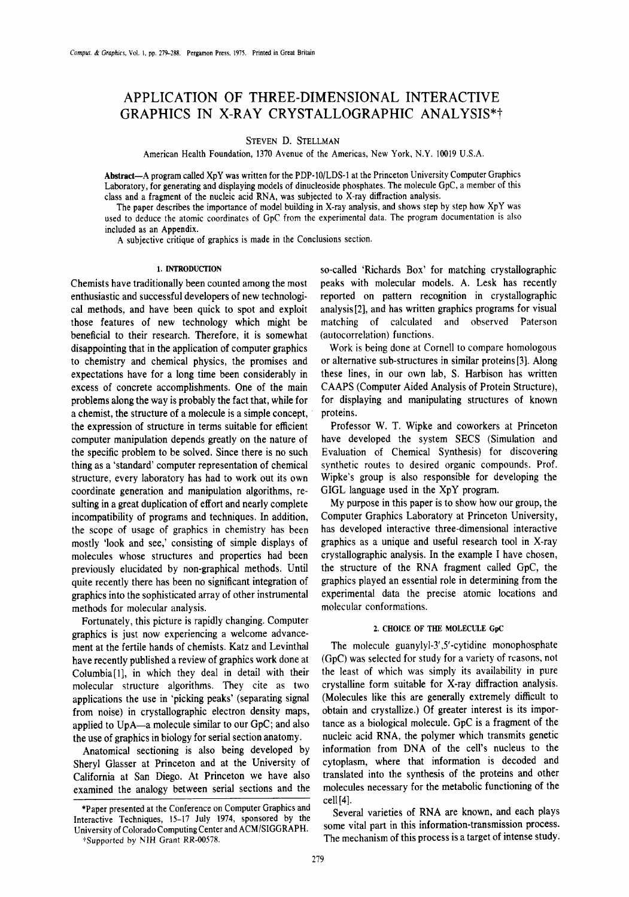# **APPLICATION OF THREE-DIMENSIONAL INTERACTIVE GRAPHICS IN X-RAY CRYSTALLOGRAPHIC ANALYSIS\*+**

### STEVEN D. STELLMAN

American Health Foundation, 1370 Avenue of the Americas, New York, N.Y. 10019 U.S.A.

Abstract--A program called XpY was written for the PDP-10/LDS-1 at the Princeton University Computer Graphics Laboratory, for generating and displaying models of dinucleoside phosphates. The molecule GpC, a member of this class and a fragment of the nucleic acid RNA, was subjected to X-ray diffraction analysis.

The paper describes the importance of model building in X-ray analysis, and shows step by step how XpY was used to deduce the atomic coordinates of GpC from the experimental data. The program documentation is also included as an Appendix.

A subjective critique of graphics is made in the Conclusions section.

#### 1. INTRODUCTION

Chemists have traditionally been counted among the most enthusiastic and successful developers of new technological methods, and have been quick to spot and exploit those features of new technology which might be beneficial to their research. Therefore, it is somewhat disappointing that in the application of computer graphics to chemistry and chemical physics, the promises and expectations have for a long time been considerably in excess of concrete accomplishments. One of the main problems along the way is probably the fact that, while for a chemist, the structure of a molecule is a simple concept, the expression of structure in terms suitable for efficient computer manipulation depends greatly on the nature of the specific problem to be solved. Since there is no such thing as a 'standard' computer representation of chemical structure, every laboratory has had to work out its own coordinate generation and manipulation algorithms, resulting in a great duplication of effort and nearly complete incompatibility of programs and techniques. In addition, the scope of usage of graphics in chemistry has been mostly 'look and see,' consisting of simple displays of molecules whose structures and properties had been previously elucidated by non-graphical methods. Until quite recently there has been no significant integration of graphics into the sophisticated array of other instrumental methods for molecular analysis.

Fortunately, this picture is rapidly changing. Computer graphics is just now experiencing a welcome advancement at the fertile hands of chemists. Katz and Levinthal have recently published a review of graphics work done at Columbia[l], in which they deal in detail with their molecular structure algorithms. They cite as two applications the use in 'picking peaks' (separating signal from noise) in crystallographic electron density maps, applied to UpA-a molecule similar to our GpC; and also the use of graphics in biology for serial section anatomy.

Anatomical sectioning is also being developed by Sheryl Glasser at Princeton and at the University of California at San Diego. At Princeton we have also examined the analogy between serial sections and the

so-called 'Richards Box' for matching crystallographic peaks with molecular models. A. Lesk has recently reported on pattern recognition in crystallographic analysis [2], and has written graphics programs for visual matching of calculated and observed Paterson (autocorrelation) functions.

Work is being done at Cornell to compare homologous or alternative sub-structures in similar proteins [3]. Along these lines, in our own lab, S. Harbison has written CAAPS (Computer Aided Analysis of Protein Structure), for displaying and manipulating structures of known proteins.

Professor W. T. Wipke and coworkers at Princeton have developed the system SECS (Simulation and Evaluation of Chemical Synthesis) for discovering synthetic routes to desired organic compounds. Prof. Wipke's group is also responsible for developing the GIGL language used in the XpY program.

My purpose in this paper is to show how our group, the Computer Graphics Laboratory at Princeton University, has developed interactive three-dimensional interactive graphics as a unique and useful research tool in X-ray crystallographic analysis. In the example I have chosen, the structure of the RNA fragment called GpC, the graphics played an essential role in determining from the experimental data the precise atomic locations and molecular conformations.

### 2. CHOICE OF THE MOLECULE GpC

The molecule guanylyl-3',5'-cytidine monophosphate (GpC) was selected for study for a variety of reasons, not the least of which was simply its availability in pure crystalline form suitable for X-ray diffraction analysis. (Molecules like this are generally extremely difficult to obtain and crystallize.) Of greater interest is its importance as a biological molecule. GpC is a fragment of the nucleic acid RNA, the polymer which transmits genetic information from DNA of the cell's nucleus to the cytoplasm, where that information is decoded and translated into the synthesis of the proteins and other molecules necessary for the metabolic functioning of the cell [4].

Several varieties of RNA are known, and each plays some vital part in this information-transmission process. The mechanism of this process is a target of intense study.

<sup>\*</sup>Paper presented at the Conference on Computer Graphics and Interactive Techniques, 15-17 July 1974, sponsored by the University of Colorado Computing Center and ACM/SIGGRAPH.

<sup>+</sup>Supported by NIH Grant RR-00578.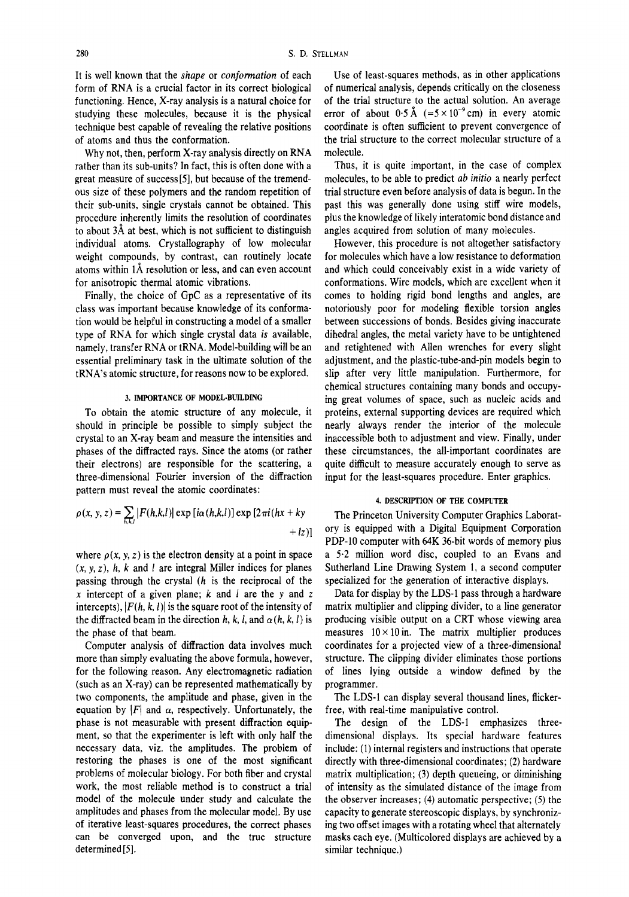It is well known that the *shape* or *conformation* of each form of RNA is a crucial factor in its correct biological functioning. Hence, X-ray analysis is a natural choice for studying these molecules, because it is the physical technique best capable of revealing the relative positions of atoms and thus the conformation.

Why not, then, perform X-ray analysis directly on RNA rather than its sub-units? In fact, this is often done with a great measure of success [5], but because of the tremendous size of these polymers and the random repetition of their sub-units, single crystals cannot be obtained. This procedure inherently limits the resolution of coordinates to about  $3\text{\AA}$  at best, which is not sufficient to distinguish individual atoms. Crystallography of low molecular weight compounds, by contrast, can routinely locate atoms within 1Å resolution or less, and can even account for anisotropic thermal atomic vibrations.

Finally, the choice of GpC as a representative of its class was important because knowledge of its conformation would be helpful in constructing a model of a smaller type of RNA for which single crystal data *is* available, namely, transfer RNA or tRNA. Model-building will be an essential preliminary task in the ultimate solution of the tRNA's atomic structure, for reasons now to be explored.

#### 3. IMPORTANCE OF MODEL-BUILDING

To obtain the atomic structure of any molecule, it should in principle be possible to simply subject the crystal to an X-ray beam and measure the intensities and phases of the diffracted rays. Since the atoms (or rather their electrons) are responsible for the scattering, a three-dimensional Fourier inversion of the diffraction pattern must reveal the atomic coordinates:

$$
\rho(x, y, z) = \sum_{h,k,l} |F(h,k,l)| \exp [i\alpha(h,k,l)] \exp [2\pi i (hx+ky+lz)]
$$

where  $\rho(x, y, z)$  is the electron density at a point in space  $(x, y, z)$ , h, k and l are integral Miller indices for planes passing through the crystal (h is the reciprocal of the x intercept of a given plane;  $k$  and  $l$  are the y and z intercepts),  $|F(h, k, l)|$  is the square root of the intensity of the diffracted beam in the direction h, k, l, and  $\alpha$ (h, k, l) is the phase of that beam.

Computer analysis of diffraction data involves much more than simply evaluating the above formula, however, for the following reason. Any electromagnetic radiation (such as an X-ray) can be represented mathematically by two components, the amplitude and phase, given in the equation by  $|F|$  and  $\alpha$ , respectively. Unfortunately, the phase is not measurable with present diffraction equipment, so that the experimenter is left with only half the necessary data, viz. the amplitudes. The problem of restoring the phases is one of the most significant problems of molecular biology. For both fiber and crystal work, the most reliable method is to construct a trial model of the molecule under study and calculate the amplitudes and phases from the molecular model. By use of iterative least-squares procedures, the correct phases can be converged upon, and the true structure determined [5].

Use of least-squares methods, as in other applications of numerical analysis, depends critically on the closeness of the trial structure to the actual solution. An average error of about  $0.5~\text{\AA}$  (=5×10<sup>-9</sup>cm) in every atomic coordinate is often sufficient to prevent convergence of the trial structure to the correct molecular structure of a molecule.

Thus, it is quite important, in the case of complex molecules, to be able to predict *ab initio* a nearly perfect trial structure even before analysis of data is begun. In the past this was generally done using stiff wire models, plus the knowledge of likely interatomic bond distance and angles acquired from solution of many molecules.

However, this procedure is not altogether satisfactory for molecules which have a low resistance to deformation and which could conceivably exist in a wide variety of conformations. Wire models, which are excellent when it comes to holding rigid bond lengths and angles, are notoriously poor for modeling flexible torsion angles between successions of bonds. Besides giving inaccurate dihedral angles, the metal variety have to be untightened and retightened with Allen wrenches for every slight adjustment, and the plastic-tube-and-pin models begin to slip after very little manipulation. Furthermore, for chemical structures containing many bonds and occupying great volumes of space, such as nucleic acids and proteins, external supporting devices are required which nearly always render the interior of the molecule inaccessible both to adjustment and view. Finally, under these circumstances, the all-important coordinates are quite difficult to measure accurately enough to serve as input for the least-squares procedure. Enter graphics.

# 4. DESCRIPTION OF THE COMPUTER

The Princeton University Computer Graphics Laboratory is equipped with a Digital Equipment Corporation PDP-10 computer with 64K 36-bit words of memory plus a 5.2 million word disc, coupled to an Evans and Sutherland Line Drawing System 1, a second computer specialized for the generation of interactive displays.

Data for display by the LDS-1 pass through a hardware matrix multiplier and clipping divider, to a line generator producing visible output on a CRT whose viewing area measures  $10 \times 10$  in. The matrix multiplier produces coordinates for a projected view of a three-dimensional structure. The clipping divider eliminates those portions of lines lying outside a window defined by the programmer.

The LDS-1 can display several thousand lines, flickerfree, with real-time manipulative control.

The design of the LDS-1 emphasizes threedimensional displays. Its special hardware features include: (1) internal registers and instructions that operate directly with three-dimensional coordinates; (2) hardware matrix multiplication; (3) depth queueing, or diminishing of intensity as the simulated distance of the image from the observer increases; (4) automatic perspective; (5) the capacity to generate stereoscopic displays, by synchronizing two offset images with a rotating wheel that alternately masks each eye. (Multicolored displays are achieved by a similar technique.)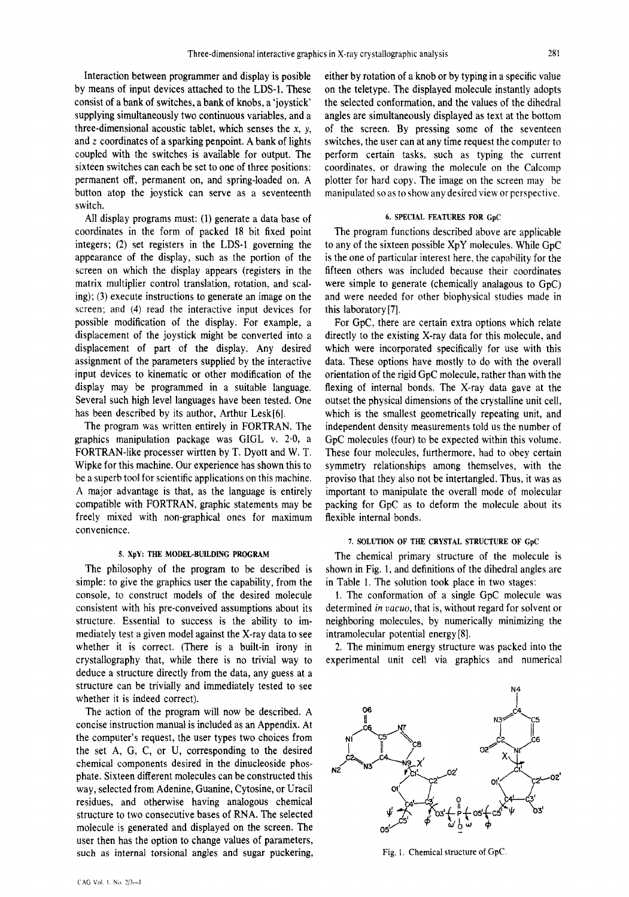Interaction between programmer and display is posible by means of input devices attached to the LDS-1. These consist of a bank of switches, a bank of knobs, a 'joystick' supplying simultaneously two continuous variables, and a three-dimensional acoustic tablet, which senses the  $x$ ,  $y$ , and z coordinates of a sparking penpoint. A bank of lights coupled with the switches is available for output. The sixteen switches can each be set to one of three positions: permanent off, permanent on, and spring-loaded on. A button atop the joystick can serve as a seventeenth switch.

All display programs must: (1) generate a data base of coordinates in the form of packed 18 bit fixed point integers; (2) set registers in the LDS-1 governing the appearance of the display, such as the portion of the screen on which the display appears (registers in the matrix multiplier control translation, rotation, and scaling); (3) execute instructions to generate an image on the screen; and (4) read the interactive input devices for possible modification of the display. For example, a displacement of the joystick might be converted into a displacement of part of the display. Any desired assignment of the parameters supplied by the interactive input devices to kinematic or other modification of the display may be programmed in a suitable language. Several such high level languages have been tested. One has been described by its author, Arthur Lesk[6].

The program was written entirely in FORTRAN. The graphics manipulation package was GIGL v. 2.0, a FORTRAN-like processer wirtten by T. Dyott and W. T. Wipke for this machine. Our experience has shown this to be a superb tool for scientific applications on this machine. A major advantage is that, as the language is entirely compatible with FORTRAN, graphic statements may be freely mixed with non-graphical ones for maximum convenience.

### 5. XpY: THE MODEL-BUILDING PROGRAM

The philosophy of the program to be described is simple: to give the graphics user the capability, from the console, to construct models of the desired molecule consistent with his pre-conveived assumptions about its structure. Essential to success is the ability to immediately test a given model against the X-ray data to see whether it is correct. (There is a built-in irony in crystallography that, while there is no trivial way to deduce a structure directly from the data, any guess at a structure can be trivially and immediately tested to see whether it is indeed correct).

The action of the program will now be described. A concise instruction manual is included as an Appendix. At the computer's request, the user types two choices from the set A, G, C, or U, corresponding to the desired chemical components desired in the dinucleoside phosphate. Sixteen different molecules can be constructed this way, selected from Adenine, Guanine, Cytosine, or Uracil residues, and otherwise having analogous chemical structure to two consecutive bases of RNA. The selected molecule is generated and displayed on the screen. The user then has the option to change values of parameters, such as internal torsional angles and sugar puckering,

either by rotation of a knob or by typing in a specific value on the teletype. The displayed molecule instantly adopts the selected conformation, and the values of the dihedral angles are simultaneously displayed as text at the bottom of the screen. By pressing some of the seventeen switches, the user can at any time request the computer to perform certain tasks, such as typing the current coordinates, or drawing the molecule on the Calcomp plotter for hard copy. The image on the screen may be manipulated so as to show any desired view or perspective.

#### 6. SPECIAL FEATURES FOR GpC

The program functions described above are applicable to any of the sixteen possible XpY molecules. While GpC is the one of particular interest here, the capability for the fifteen others was included because their coordinates were simple to generate (chemically analagous to GpC) and were needed for other biophysical studies made in this laboratory [7].

For GpC, there are certain extra options which relate directly to the existing X-ray data for this molecule, and which were incorporated specifically for use with this data. These options have mostly to do with the overall orientation of the rigid GpC molecule, rather than with the flexing of internal bonds. The X-ray data gave at the outset the physical dimensions of the crystalline unit cell, which is the smallest geometrically repeating unit, and independent density measurements told us the number of GpC molecules (four) to be expected within this volume. These four molecules, furthermore, had to obey certain symmetry relationships among themselves, with the proviso that they also not be intertangled. Thus, it was as important to manipulate the overall mode of molecular packing for GpC as to deform the molecule about its flexible internal bonds.

### 7. SOLUTION OF THE CRYSTAL STRUCTURE OF GpC

The chemical primary structure of the molecule is shown in Fig. 1, and definitions of the dihedral angles are in Table 1. The solution took place in two stages:

1. The conformation of a single GpC molecule was determined *in vacuo,* that is, without regard for solvent or neighboring molecules, by numerically minimizing the intramolecular potential energy[8].

2. The minimum energy structure was packed into the experimental unit cell via graphics and numerical



Fig. 1. Chemical structure of GpC.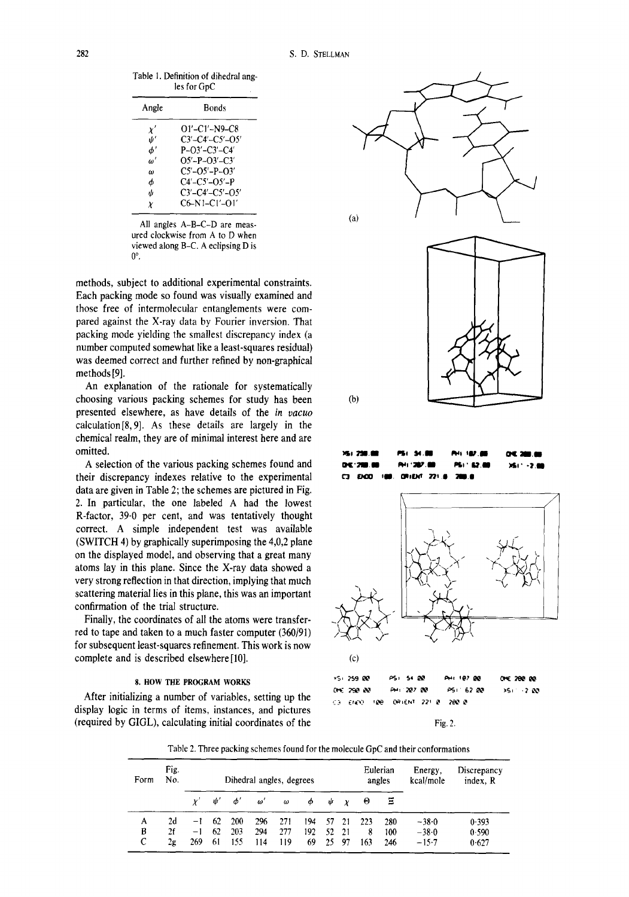|  | Table 1. Definition of dihedral ang- |  |
|--|--------------------------------------|--|
|  | les for GpC                          |  |

| Angle     | <b>Bonds</b>                  |
|-----------|-------------------------------|
| $\chi'$   | O1'-C1'-N9-C8                 |
| ψ'        | $C3'$ - $C4'$ - $C5'$ - $O5'$ |
| φ'        | $P - O$ 3' $- C$ 3' $- C 4'$  |
| $\omega'$ | $O5' - P - O3' - C3'$         |
| ω         | C5'-05'-P-03'                 |
| φ         | $C4'$ - $C5'$ - $O5'$ -P      |
| ψ         | $C3' - C4' - C5' - O5'$       |
| X         | C6-N1-C1'-O1'                 |

All angles A-B-C-D are measured clockwise from A to D when viewed along B-C. A eclipsing D is  $0^{\circ}$ .

methods, subject to additional experimental constraints. Each packing mode so found was visually examined and those free of intermolecular entanglements were compared against the X-ray data by Fourier inversion. That packing mode yielding the smallest discrepancy index (a number computed somewhat like a least-squares residual) was deemed correct and further refined by non-graphical methods [9].

An explanation of the rationale for systematically choosing various packing schemes for study has been presented elsewhere, as have details of the *in vacuo*  calculation[8,9]. As these details are largely in the chemical realm, they are of minimal interest here and are omitted.

A selection of the various packing schemes found and their discrepancy indexes relative to the experimental data are given in Table 2; the schemes are pictured in Fig. 2. In particular, the one labeled A had the lowest R-factor, 39.0 per cent, and was tentatively thought correct. A simple independent test was available (SWITCH 4) by graphically superimposing the 4,0,2 plane on the displayed model, and observing that a great many atoms lay in this plane. Since the X-ray data showed a very strong reflection in that direction, implying that much scattering material lies in this plane, this was an important confirmation of the trial structure.

Finally, the coordinates of all the atoms were transferred to tape and taken to a much faster computer (360/91) for subsequent least-squares refinement. This work is now complete and is described elsewhere<sup>[10]</sup>.

#### **8. HOW TIlE PROGRAM WORKS**

After initializing a number of variables, setting up the display logic in terms of items, instances, and pictures (required by GIGL), calculating initial coordinates of the



Fig. 2.

Table 2. Three packing schemes found for the molecule GpC and their conformations

| Form        | Fig.<br>No.    |                     | Eulerian<br>Energy,<br>Dihedral angles, degrees<br>kcal/mole<br>angles |                   |                   |                   |                  | Discrepancy<br>index, R |                     |                 |                   |                               |                         |
|-------------|----------------|---------------------|------------------------------------------------------------------------|-------------------|-------------------|-------------------|------------------|-------------------------|---------------------|-----------------|-------------------|-------------------------------|-------------------------|
|             |                | Y'                  | ď'                                                                     | $\phi'$           | $\omega'$         | $\omega$          | Φ                | ψ                       | $\boldsymbol{\chi}$ | ₩               | Ξ                 |                               |                         |
| A<br>В<br>C | 2d<br>2f<br>2g | $-1$<br>$-1$<br>269 | 62<br>62<br>61                                                         | 200<br>203<br>155 | 296<br>294<br>114 | 271<br>277<br>119 | 194<br>192<br>69 | 57<br>52<br>25          | -21<br>$-21$<br>-97 | 223<br>8<br>163 | 280<br>100<br>246 | $-38.0$<br>$-38.0$<br>$-15.7$ | 0.393<br>0.590<br>0.627 |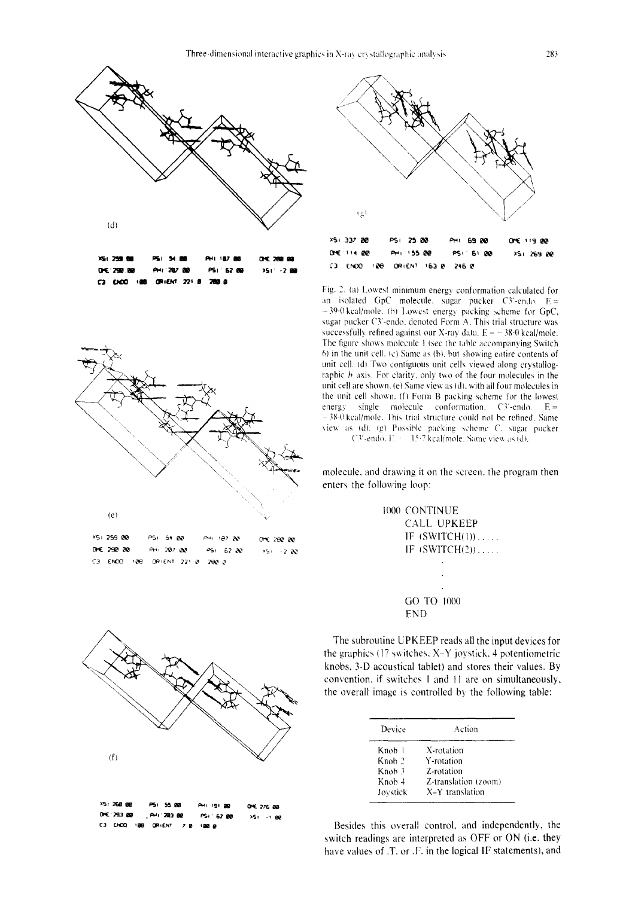





ORIENT 221 @

 $\infty$  $\alpha$ 

C3 ENOD 108

 $(f)$ 

| <b>XSI 260 00</b> | PS: 55 000                   | <b>PHI 191 88</b> | ONE 276 88 |
|-------------------|------------------------------|-------------------|------------|
| DE 293 88         | 2010 12:30                   | PSI 62 00         | $25 + 00$  |
|                   | C3 ENDO 188 ORIENT 7-8 188 8 |                   |            |



Fig. 2. (a) Lowest minimum energy conformation calculated for an isolated GpC molecule, sugar pucker  $C3'$ -endo.  $E =$  $-39.0$  kcal/mole. (b) Lowest energy packing scheme for GpC, sugar pucker C3'-endo. denoted Form A. This trial structure was successfully refined against our X-ray data.  $E = -38.0$  kcal/mole. The figure shows molecule 1 (see the table accompanying Switch 6) in the unit cell. Ic) Same as {b). but showing entire contents of unit cell. (d) Two contiguous unit cells viewed along crystallographic b axis. For clarity, only two of the four molecules in the unit cell are shown. (e) Same view as (d), with all four molecules in the unit cell shown. (f) Form B packing scheme for the lowest energy single molecule conformation.  $C3'$ -endo.  $E =$  $-38.0$  kcal/mole. This trial structure could not be refined. Same xieu a> {d). Ig} Possible packing scheme C, sugar pucker  $C3'$ -endo.  $V = -15.7$  kcal/mole. Same view as  $(d)$ .

molecule, and drawing it on the screen, the program then enters the following loop:



The subroutine UPKEEP reads all the input devices for the graphics {I7 switches, X-Y joystick. 4 potentiometric knobs, 3-D acoustical tablet) and stores their values. By convention, if switches I and tl are on simultaneously, the overall image is controlled by the following table:

| Device   | Action               |
|----------|----------------------|
| Knob i   | X-rotation           |
| Knob 2   | Y-rotation           |
| Knob 3   | Z-rotation           |
| Knob 4   | Z-translation (zoom) |
| Jovstick | X-Y translation      |

Besides this overall control, and independently, the switch readings are interpreted as OFF or ON (i.e. they have values of  $T$ . or  $F$ . in the logical IF statements), and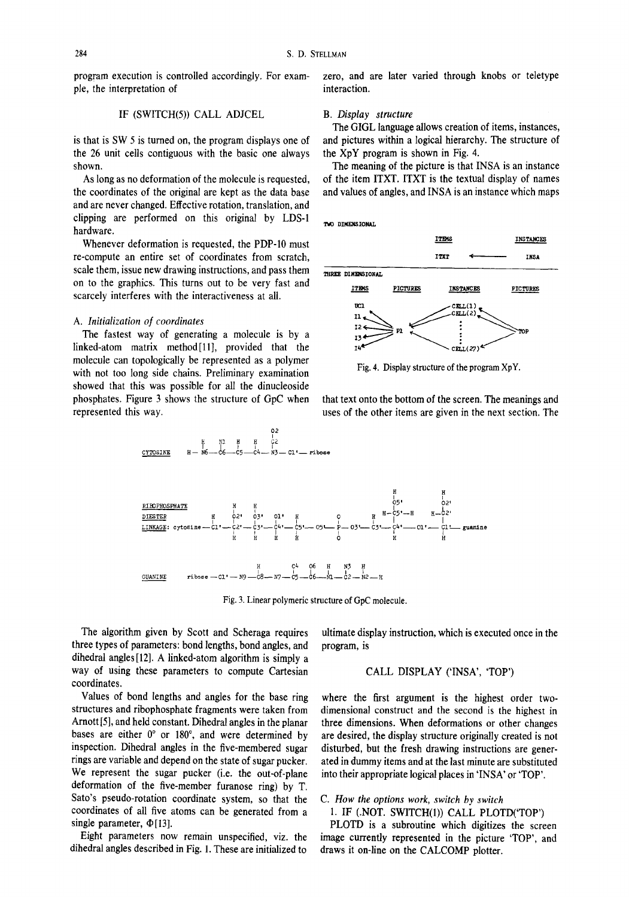program execution is controlled accordingly. For exam- zero, and are later varied through knobs or teletype ple, the interpretation of interaction.

# IF (SWITCH(5)) CALL ADJCEL

is that is SW 5 is turned on, the program displays one of the 26 unit cells contiguous with the basic one always shown.

As long as no deformation of the molecule is requested, the coordinates of the original are kept as the data base and are never changed. Effective rotation, translation, and clipping are performed on this original by LDS-1 hardware.

Whenever deformation is requested, the PDP-10 must re-compute an entire set of coordinates from scratch, scale them, issue new drawing instructions, and pass them on to the graphics. This turns out to be very fast and scarcely interferes with the interactiveness at all.

# *A. Initialization of coordinates*

The fastest way of generating a molecule is by a linked-atom matrix method[11], provided that the molecule can topologically be represented as a polymer with not too long side chains. Preliminary examination showed that this was possible for all the dinucleoside phosphates. Figure 3 shows the structure of GpC when represented this way.

### *B. Display structure*

The GIGL language allows creation of items, instances, and pictures within a logical hierarchy. The structure of the XpY program is shown in Fig. 4.

The meaning of the picture is that INSA is an instance of the item ITXT. ITXT is the textual display of names and values of angles, and INSA is an instance which maps

ITEMS INSTANCES

TWO DIMENSIONAL



Fig. 4. Display structure of the program XpY.

that text onto the bottom of the screen. The meanings and uses of the other items are given in the next section. The



Fig. 3. Linear polymeric structure of GpC molecule.

The algorithm given by Scott and Scheraga requires three types of parameters: bond lengths, bond angles, and dihedral angles [12]. A linked-atom algorithm is simply a way of using these parameters to compute Cartesian coordinates.

Values of bond lengths and angles for the base ring structures and ribophosphate fragments were taken from Arnott [5], and held constant. Dihedral angles in the planar bases are either  $0^{\circ}$  or 180°, and were determined by inspection. Dihedral angles in the five-membered sugar rings are variable and depend on the state of sugar pucker. We represent the sugar pucker (i.e. the out-of-plane deformation of the five-member furanose ring) by T. Sato's pseudo-rotation coordinate system, so that the coordinates of all five atoms can be generated from a single parameter,  $\Phi[13]$ .

Eight parameters now remain unspecified, viz. the dihedral angles described in Fig. 1. These are initialized to

ultimate display instruction, which is executed once in the program, is

# CALL DISPLAY ('INSA', 'TOP')

where the first argument is the highest order twodimensional construct and the second is the highest in three dimensions. When deformations or other changes are desired, the display structure originally created is not disturbed, but the fresh drawing instructions are generated in dummy items and at the last minute are substituted into their appropriate logical places in 'INSA' or 'TOP'.

### *C. How the options work, switch by switch*

1. IF (.NOT. SWITCH(l)) CALL PLOTD('TOP')

PLOTD is a subroutine which digitizes the screen image currently represented in the picture 'TOP', and draws it on-line on the CALCOMP plotter.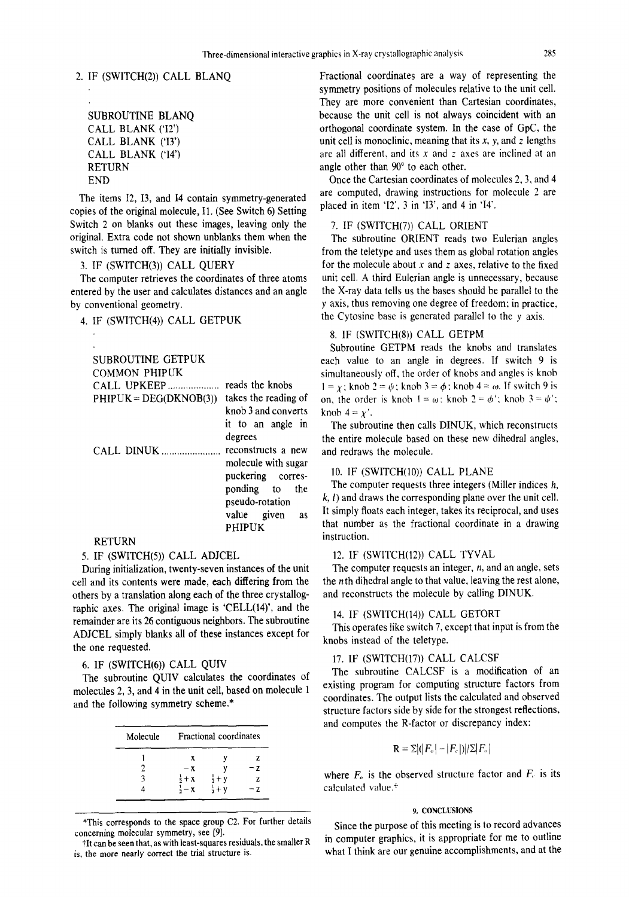### 2. IF (SWITCH(2)) CALL BLANQ

```
SUBROUTINE BLANQ 
CALL BLANK ('I2') 
CALL BLANK ('13') 
CALL BLANK ('14') 
RETURN 
END
```
The items I2, I3, and 14 contain symmetry-generated copies of the original molecule, I1. (See Switch 6) Setting Switch 2 on blanks out these images, leaving only the original. Extra code not shown unblanks them when the switch is turned off. They are initially invisible.

# 3. IF (SWITCH(3)) CALL QUERY

The computer retrieves the coordinates of three atoms entered by the user and calculates distances and an angle by conventional geometry.

4. IF (SWITCH(4)) CALL GETPUK

| SUBROUTINE GETPUK<br>COMMON PHIPUK<br>CALL UPKEEP<br>$PHIPUK = DEG(DKNOB(3))$ | reads the knobs<br>takes the reading of<br>knob 3 and converts<br>it to an angle in<br>degrees                                               |
|-------------------------------------------------------------------------------|----------------------------------------------------------------------------------------------------------------------------------------------|
| CALL DINUK                                                                    | reconstructs a new<br>molecule with sugar<br>puckering corres-<br>ponding to<br>the<br>pseudo-rotation<br>value given<br>as<br><b>PHIPUK</b> |
| .                                                                             |                                                                                                                                              |

#### RETURN

### 5. IF (SWITCH(5)) CALL ADJCEL

During initialization, twenty-seven instances of the unit cell and its contents were made, each differing from the others by a translation along each of the three crystallographic axes. The original image is 'CELL(14)', and the remainder are its 26 contiguous neighbors. The subroutine ADJCEL simply blanks all of these instances except for the one requested.

### 6. IF (SWITCH(6)) CALL QUIV

The subroutine QUIV calculates the coordinates of molecules 2, 3, and 4 in the unit cell, based on molecule 1 and the following symmetry scheme.\*

| Molecule |                   | Fractional coordinates |      |
|----------|-------------------|------------------------|------|
|          | x                 |                        | z    |
|          | $-\mathbf{x}$     |                        | $-2$ |
|          | $\frac{1}{2} + X$ | $rac{1}{2} + y$        | z    |
|          | $\frac{1}{2} - x$ | $rac{1}{2} + y$        | - 7. |

\*This corresponds to the space group C2. For further details concerning molecular symmetry, see [9].

tit can be seen that, as with least-squares residuals, the smaller R is, the more nearly correct the trial structure is.

Fractional coordinates are a way of representing the symmetry positions of molecules relative to the unit cell. They are more convenient than Cartesian coordinates, because the unit cell is not always coincident with an orthogonal coordinate system. In the case of GpC, the unit cell is monoclinic, meaning that its  $x$ ,  $y$ , and  $z$  lengths are all different, and its  $x$  and  $z$  axes are inclined at an angle other than  $90^{\circ}$  to each other.

Once the Cartesian coordinates of molecules 2, 3, and 4 are computed, drawing instructions for molecule 2 are placed in item 'I2',  $3$  in 'I3', and  $4$  in 'I4'.

# 7. IF (SWITCH(7)) CALL ORIENT

The subroutine ORIENT reads two Eulerian angles from the teletype and uses them as global rotation angles for the molecule about  $x$  and  $z$  axes, relative to the fixed unit cell. A third Eulerian angle is unnecessary, because the X-ray data tells us the bases should be parallel to the y axis, thus removing one degree of freedom: in practice, the Cytosine base is generated parallel to the y axis.

# 8. IF (SWITCH(8)) CALL GETPM

Subroutine GETPM reads the knobs and translates each value to an angle in degrees. If switch 9 is simultaneously off, the order of knobs and angles is knob  $1 = x$ ; knob  $2 = \psi$ ; knob  $3 = \phi$ ; knob  $4 = \omega$ . If switch 9 is on, the order is knob  $1 = \omega$ : knob  $2 = \phi'$ ; knob  $3 = \psi'$ ; knob  $4 = x'$ .

The subroutine then calls DINUK, which reconstructs the entire molecule based on these new dihedral angles, and redraws the molecule.

### 10. IF (SWITCH(10)) CALL PLANE

The computer requests three integers (Miller indices h,  $k$ ,  $l$ ) and draws the corresponding plane over the unit cell. It simply floats each integer, takes its reciprocal, and uses that number as the fractional coordinate in a drawing instruction.

### 12. IF (SWITCH(12)) CALL TYVAL

The computer requests an integer,  $n$ , and an angle, sets the nth dihedral angle to that value, leaving the rest alone, and reconstructs the molecule by calling DINUK.

### 14. IF (SWITCH(14)) CALL GETORT

This operates like switch 7, except that input is from the knobs instead of the teletype.

# 17. IF (SWITCH(17)) CALL CALCSF

The subroutine CALCSF is a modification of an existing program for computing structure factors from coordinates. The output lists the calculated and observed structure factors side by side for the strongest reflections, and computes the R-factor or discrepancy index:

$$
\mathbf{R} = \Sigma |(|F_o| - |F_c|)|/\Sigma |F_o|
$$

where  $F<sub>o</sub>$  is the observed structure factor and  $F<sub>c</sub>$  is its calculated value.<sup>+</sup>

### 9, **CONCLUSIONS**

Since the purpose of this meeting is to record advances in computer graphics, it is appropriate for me to outline what I think are our genuine accomplishments, and at the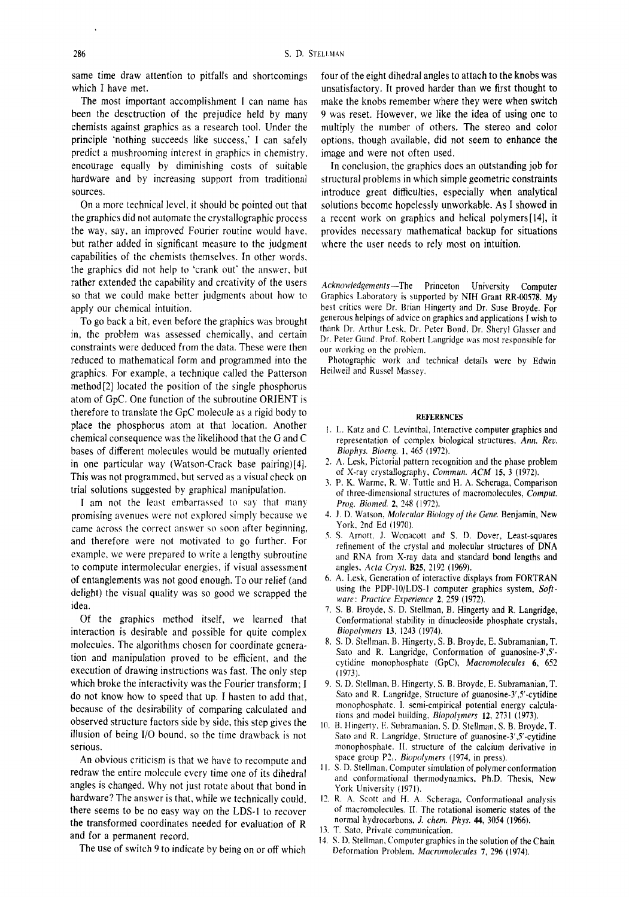same time draw attention to pitfalls and shortcomings which I have met.

The most important accomplishment I can name has been the desctruction of the prejudice held by many chemists against graphics as a research tool. Under the principle 'nothing succeeds like success,' I can safely predict a mushrooming interest in graphics in chemistry. encourage equally by diminishing costs of suitable hardware and by increasing support from traditional sources.

On a more technical level, it should be pointed out that the graphics did not automate the crystallographic process the way, say, an improved Fourier routine would have, but rather added in significant measure to the judgment capabilities of the chemists themselves. In other words, the graphics did not help to 'crank out" the answer, but rather extended the capability and creativity of the users so that we could make better judgments about how to apply our chemical intuition.

To go back a bit, even before the graphics was brought in, the problem was assessed chemically, and certain constraints were deduced from the data. These were then reduced to mathematical form and programmed into the graphics. For example, a technique called the Patterson method [2] located the position of the single phosphorus atom of GpC. One function of the subroutine ORIENT is therefore to translate the GpC molecule as a rigid body to place the phosphorus atom at that location. Another chemical consequence was the likelihood that the G and C bases of different molecules would be mutually oriented in one particular way (Watson-Crack base pairing)[4]. This was not programmed, but served as a visual check on trial solutions suggested by graphical manipulation.

1 am not the least embarrassed to say that many promising avenues were not explored simply because we came across the correct answer so soon after beginning, and therefore were not motivated to go further. For example, we were prepared to write a lengthy subroutine to compute intermolecular energies, if visual assessment of entanglements was not good enough. To our relief (and delight) the visual quality was so good we scrapped the idea.

Of the graphics method itself, we learned that interaction is desirable and possible for quite complex molecules. The algorithms chosen for coordinate generation and manipulation proved to be efficient, and the execution of drawing instructions was fast. The only step which broke the interactivity was the Fourier transform; 1 do not know how to speed that up. I hasten to add that, because of the desirability of comparing calculated and observed structure factors side by side, this step gives the illusion of being I/O bound, so the time drawback is not serious.

An obvious criticism is that we have to recompute and redraw the entire molecule every time one of its dihedral angles is changed. Why not just rotate about that bond in hardware? The answer is that, while we technically could, there seems to be no easy way on the LDS-1 to recover the transformed coordinates needed for evaluation of R and for a permanent record.

The use of switch 9 to indicate by being on or off which

four of the eight dihedral angles to attach to the knobs was unsatisfactory. It proved harder than we first thought to make the knobs remember where they were when switch 9 was reset. However, we like the idea of using one to multiply the number of others, The stereo and color options, though available, did not seem to enhance the image and were not often used.

In conclusion, the graphics does an outstanding job for structural problems in which simple geometric constraints introduce great difficulties, especially when analytical solutions become hopelessly unworkable. As I showed in a recent work on graphics and helical polymers[14], it provides necessary mathematical backup for situations where the user needs to rely most on intuition.

*Acknowledgements--The* Princeton University Computer Graphics Laboratory is supported by NIH Grant RR-00578. My best critics were Dr. Brian Hingerty and Dr. Suse Broyde. For generous helpings of advice on graphics and applications I wish to thank Dr. Arthur Lesk, Dr. Peter Bond, Dr. Sheryl Glasser and Dr. Peter Gund. Prof. Robert I.angridge was most responsible for our working on the problem.

Photographic work and technical details were by Edwin Heilweil and Russel Massey.

#### **REFERENCES**

- 1. L. Katz and C. Levinthal, Interactive computer graphics and representation of complex biological structures, *Ann. Rev. Biophys. Bioeng.* i, 465 (1972).
- 2. A. Lesk, Pictorial pattern recognition and the phase problem of X-ray crystallography, *Commun. ACM* 15, 3 (1972).
- 3. P. K. Warme, R. W. Turtle and H. A. Scheraga, Comparison of three-dimensional structures of macromolecules, *Comput. Prog. Biomed.* 2, 248 (1972).
- 4. J. D. Watson, *Molecular Biology of the Gene.* Benjamin, New York. 2nd Ed (1970).
- 5. S. Arnott, J. Wonacott and S. D. Dover, Least-squares refinement of the crystal and molecular structures of DNA and RNA from X-ray data and standard bond lengths and angles, *Acta Cryst.* B25, 2192 (1969).
- 6. A. Lesk, Generation of interactive displays from FORTRAN using the PDP-10/LDS-1 computer graphics system, *Software: Practice Experience* 2, 259 (1972).
- 7. S. B. Broyde, S. D. Stellman, B. Hingerty and R. Langridge, Conformational stability in dinucleoside phosphate crystals, *Biopolymers* 13, 1243 (1974).
- 8. S. D. Stellman, B. Hingerty, S. B. Broyde, E. Subramanian, T. Sato and R. Langridge, Conformation of guanosine-3',5'cytidine monophosphate (GpC), *Macromolecules* 6, 652 (1973).
- 9. S. D. Stellman, B. Hingerty, S. B. Broyde, E. Subramanian, T. Sato and R. Langridge, Structure of guanosine-Y,5'-cytidine monophosphate. I. semi-empirical potential energy calculations and model building, *Biopolymers* 12, 2731 (1973).
- 10. B. Hingerty. E. Subramanian. S. D. Stdlman, S. B. Broyde, T. Sato and R. Langridge, Structure of guanosine-Y,5'-cytidine monophosphate. II. structure of the calcium derivative in space group P2,, *Biopolymers* (1974, in press).
- I I. S.D. Stellman, Computer simulation of polymer conformation and conformational thermodynamics, Ph.D. Thesis, New York University (1971).
- 12. R. A. Scott and H. A. Scheraga, Conformafional analysis of macromolecules. II. The rotational isomeric states of the normal hydrocarbons, *J. chem. Phys.* **44**, 3054 (1966).
- 13. T. Sato, Private communication.
- 14. S. D. Stellman, Computer graphics in the solution of the Chain Deformation Problem, *Macromolecules* 7, 296 (1974).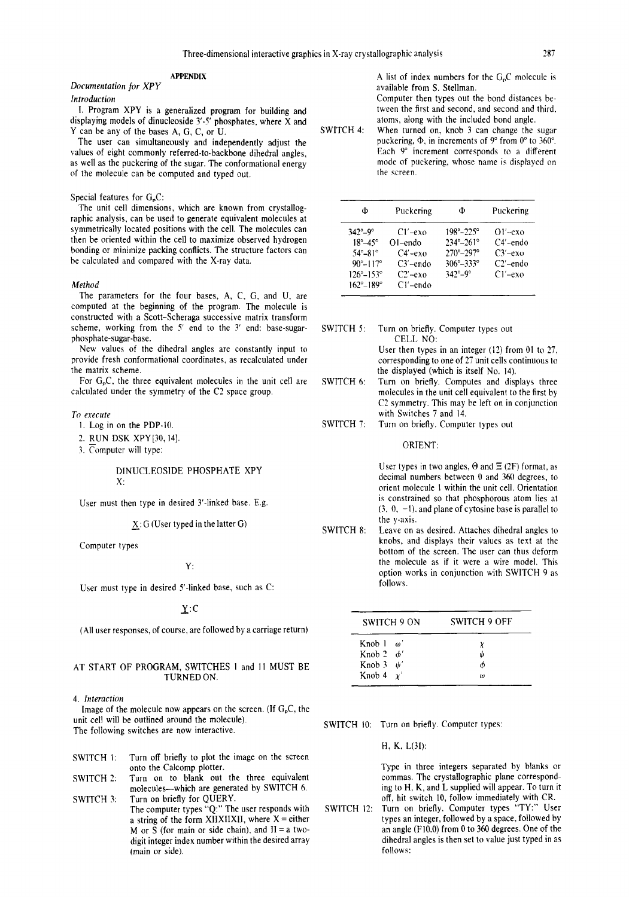# **APPENDIX**

# *Documentation for XPY*

# *Introduction*

I. Program XPY is a generalized program for building and displaying models of dinucleoside  $3'$ -5' phosphates, where X and Y can be any of the bases A, G, C, or U.

The user can simultaneously and independently adjust the values of eight commonly referred-to-backbone dihedral angles, as well as the puckering of the sugar. The conformational energy of the molecule can be computed and typed out.

#### Special features for  $G_pC$ :

The unit cell dimensions, which are known from crystallographic analysis, can be used to generate equivalent molecules at symmetrically located positions with the cell. The molecules can then be oriented within the cell to maximize observed hydrogen bonding or minimize packing conflicts. The structure factors can be calculated and compared with the X-ray data.

#### *Method*

The parameters for the four bases, A, C, G, and U, are computed at the beginning of the program. The molecule is constructed with a Scott-Scheraga successive matrix transform scheme, working from the 5' end to the 3' end: base-sugarphosphate-sugar-base.

New values of the dihedral angles are constantly input to provide fresh conformational coordinates, as recalculated under the matrix scheme.

For G<sub>p</sub>C, the three equivalent molecules in the unit cell are calculated under the symmetry of the C2 space group.

#### *To execute*

- 1. Log in on the PDP-IO.
- 2. RUN DSK XPY[30, 14].
- 3. Computer will type:

DINUCLEOS1DE PHOSPHATE XPY X:

User must then type in desired Y-linked base. E.g.

 $X: G$  (User typed in the latter G)

Computer types

Y:

User must type in desired 5'-linked base, such as C:

#### $Y:C$

(All user responses, of course, are followed by a carriage return)

### AT START OF PROGRAM, SWITCHES 1 and 11 MUST BE TURNED ON.

*4. Interaction* 

Image of the molecule now appears on the screen. (If  $G_pC$ , the unit cell will be outlined around the molecule). The following switches are now interactive.

- SWITCH l: Turn off briefly to plot the image on the screen onto the Calcomp plotter.
- SWITCH 2: SWITCH 3: Turn on to blank out the three equivalent molecules--which are generated by SWITCH 6. Turn on briefly for QUERY.
- The computer types "Q:" The user responds with a string of the form XIIXIIXII, where  $X =$  either M or S (for main or side chain), and  $II = a$  twodigit integer index number within the desired array (main or side).

A list of index numbers for the  $G_pC$  molecule is available from S. Stellman.

Computer then types out the bond distances between the first and second, and second and third. atoms, along with the included bond angle.

SWITCH 4: When turned on, knob 3 can change the sugar puckering,  $\Phi$ , in increments of  $9^{\circ}$  from  $0^{\circ}$  to 360°. Each 9° increment corresponds to a different mode of puckering, whose name is displayed on the screen.

| Φ                                                                                                                                                                               | Puckering                                                                          | Φ                                                                                                                                   | Puckering                                                           |
|---------------------------------------------------------------------------------------------------------------------------------------------------------------------------------|------------------------------------------------------------------------------------|-------------------------------------------------------------------------------------------------------------------------------------|---------------------------------------------------------------------|
| $342^{\circ} - 9^{\circ}$<br>$18^{\circ} - 45^{\circ}$<br>$54^{\circ} - 81^{\circ}$<br>$90^{\circ} - 117^{\circ}$<br>$126^{\circ} - 153^{\circ}$<br>$162^{\circ} - 189^{\circ}$ | $Cl'$ -exo<br>$O1$ -endo<br>$C4'$ -exo<br>$C3'$ -endo<br>$C2'$ -exo<br>$C1'$ -endo | 198°-225°<br>$234^{\circ} - 261^{\circ}$<br>$270^{\circ} - 297^{\circ}$<br>$306^{\circ} - 333^{\circ}$<br>$342^{\circ} - 9^{\circ}$ | $O1$ -exo<br>$C4'$ -endo<br>$C3'$ -exo<br>$C2'$ -endo<br>$C1'$ –exo |

| SWITCH 5: | Turn on briefly. Computer types out                   |
|-----------|-------------------------------------------------------|
|           | CELL NO:                                              |
|           | User then types in an integer $(12)$ from 01 to 27.   |
|           | corresponding to one of 27 unit cells continuous to   |
|           | the displayed (which is itself No. 14).               |
| SWITCH 6: | Turn on briefly. Computes and displays three          |
|           | molecules in the unit cell equivalent to the first by |

- molecules in the unit cell equivalent to the first by C2 symmetry. This may be left on in conjunction with Switches 7 and 14.
- SWITCH 7: Turn on briefly. Computer types out

#### ORIENT:

User types in two angles,  $\Theta$  and  $\Xi$  (2F) format, as decimal numbers between 0 and 360 degrees, to orient molecule I within the unit cell. Orientation is constrained so that phosphorous atom lies at  $(3, 0, -1)$ , and plane of cytosine base is parallel to the y-axis.

SWITCH 8: Leave on as desired. Attaches dihedral angles to knobs, and displays their values as text at the bottom of the screen. The user can thus deform the molecule as if it were a wire model. This option works in conjunction with SWITCH 9 as follows.

| SWITCH 9 ON      | <b>SWITCH 9 OFF</b> |  |
|------------------|---------------------|--|
| Knob $1 \omega'$ | χ                   |  |
| Knob $2 \phi'$   | ŵ                   |  |
| Knob $3 \psi'$   | Φ                   |  |
| Knob 4 $x'$      | $\omega$            |  |

#### SWITCH 10: Turn on briefly. Computer types:

# H, K, L(31):

Type in three integers separated by blanks or commas. The crystallographic plane corresponding to H, K, and L supplied will appear. To turn it off, hit switch 10, follow immediately with CR.

SWITCH 12: Turn on briefly. Computer types "TY:" User types an integer, followed by a space, followed by an angle (F10.0) from 0 to 360 degrees. One of the dihedral angles is then set to value just typed in as follows: